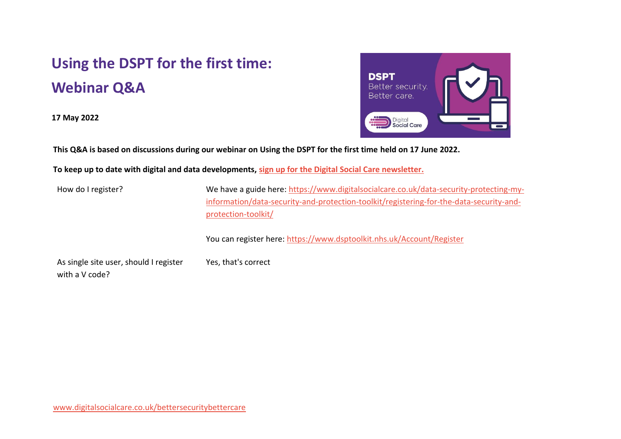## **Using the DSPT for the first time: Webinar Q&A**

**17 May 2022**



**This Q&A is based on discussions during our webinar on Using the DSPT for the first time held on 17 June 2022.**

**To keep up to date with digital and data developments, [sign up for the Digital Social Care newsletter.](https://www.digitalsocialcare.co.uk/newsletter-signup/)**

Yes, that's correct

How do I register? We have a guide here: [https://www.digitalsocialcare.co.uk/data-security-protecting-my](https://www.digitalsocialcare.co.uk/data-security-protecting-my-information/data-security-and-protection-toolkit/registering-for-the-data-security-and-protection-toolkit/)[information/data-security-and-protection-toolkit/registering-for-the-data-security-and](https://www.digitalsocialcare.co.uk/data-security-protecting-my-information/data-security-and-protection-toolkit/registering-for-the-data-security-and-protection-toolkit/)[protection-toolkit/](https://www.digitalsocialcare.co.uk/data-security-protecting-my-information/data-security-and-protection-toolkit/registering-for-the-data-security-and-protection-toolkit/)

You can register here:<https://www.dsptoolkit.nhs.uk/Account/Register>

As single site user, should I register with a V code?

[www.digitalsocialcare.co.uk/bettersecuritybettercare](http://www.digitalsocialcare.co.uk/bettersecuritybettercare)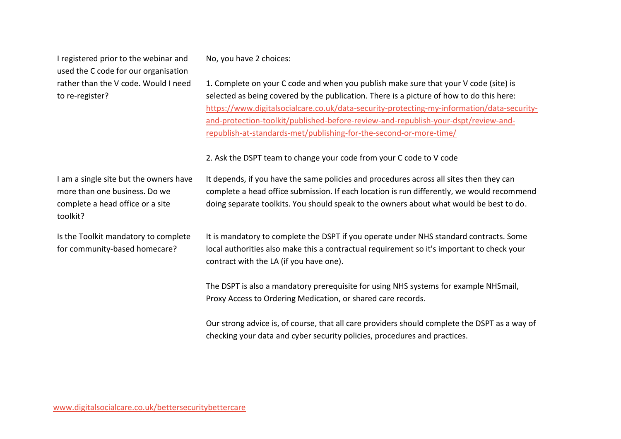I registered prior to the webinar and used the C code for our organisation rather than the V code. Would I need to re-register?

No, you have 2 choices:

1. Complete on your C code and when you publish make sure that your V code (site) is selected as being covered by the publication. There is a picture of how to do this here: [https://www.digitalsocialcare.co.uk/data-security-protecting-my-information/data-security](https://www.digitalsocialcare.co.uk/data-security-protecting-my-information/data-security-and-protection-toolkit/published-before-review-and-republish-your-dspt/review-and-republish-at-standards-met/publishing-for-the-second-or-more-time/)[and-protection-toolkit/published-before-review-and-republish-your-dspt/review-and](https://www.digitalsocialcare.co.uk/data-security-protecting-my-information/data-security-and-protection-toolkit/published-before-review-and-republish-your-dspt/review-and-republish-at-standards-met/publishing-for-the-second-or-more-time/)[republish-at-standards-met/publishing-for-the-second-or-more-time/](https://www.digitalsocialcare.co.uk/data-security-protecting-my-information/data-security-and-protection-toolkit/published-before-review-and-republish-your-dspt/review-and-republish-at-standards-met/publishing-for-the-second-or-more-time/)

2. Ask the DSPT team to change your code from your C code to V code

I am a single site but the owners have more than one business. Do we complete a head office or a site toolkit? It depends, if you have the same policies and procedures across all sites then they can complete a head office submission. If each location is run differently, we would recommend doing separate toolkits. You should speak to the owners about what would be best to do. Is the Toolkit mandatory to complete for community-based homecare? It is mandatory to complete the DSPT if you operate under NHS standard contracts. Some local authorities also make this a contractual requirement so it's important to check your contract with the LA (if you have one). The DSPT is also a mandatory prerequisite for using NHS systems for example NHSmail, Proxy Access to Ordering Medication, or shared care records.

Our strong advice is, of course, that all care providers should complete the DSPT as a way of checking your data and cyber security policies, procedures and practices.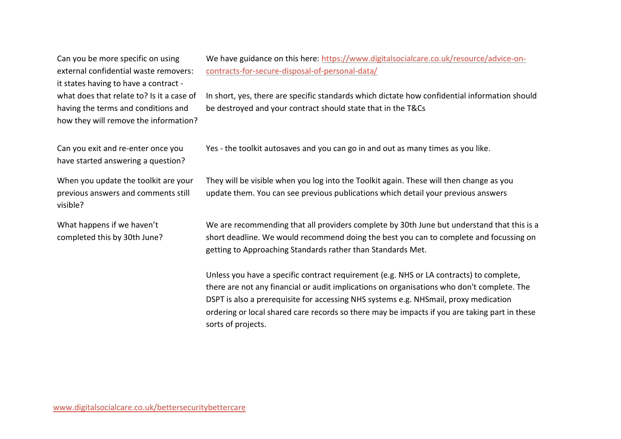Can you be more specific on using external confidential waste removers: it states having to have a contract what does that relate to? Is it a case of having the terms and conditions and how they will remove the information?

We have guidance on this here: [https://www.digitalsocialcare.co.uk/resource/advice-on](https://www.digitalsocialcare.co.uk/resource/advice-on-contracts-for-secure-disposal-of-personal-data/)[contracts-for-secure-disposal-of-personal-data/](https://www.digitalsocialcare.co.uk/resource/advice-on-contracts-for-secure-disposal-of-personal-data/)

In short, yes, there are specific standards which dictate how confidential information should be destroyed and your contract should state that in the T&Cs

Can you exit and re-enter once you have started answering a question?

When you update the toolkit are your previous answers and comments still visible?

What happens if we haven't completed this by 30th June? Yes - the toolkit autosaves and you can go in and out as many times as you like.

They will be visible when you log into the Toolkit again. These will then change as you update them. You can see previous publications which detail your previous answers

We are recommending that all providers complete by 30th June but understand that this is a short deadline. We would recommend doing the best you can to complete and focussing on getting to Approaching Standards rather than Standards Met.

Unless you have a specific contract requirement (e.g. NHS or LA contracts) to complete, there are not any financial or audit implications on organisations who don't complete. The DSPT is also a prerequisite for accessing NHS systems e.g. NHSmail, proxy medication ordering or local shared care records so there may be impacts if you are taking part in these sorts of projects.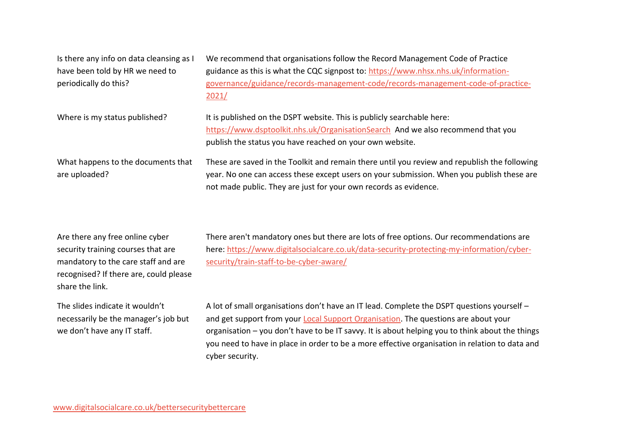| Is there any info on data cleansing as I | We recommend that organisations follow the Record Management Code of Practice                |
|------------------------------------------|----------------------------------------------------------------------------------------------|
| have been told by HR we need to          | guidance as this is what the CQC signpost to: https://www.nhsx.nhs.uk/information-           |
| periodically do this?                    | governance/guidance/records-management-code/records-management-code-of-practice-             |
|                                          | 2021/                                                                                        |
| Where is my status published?            | It is published on the DSPT website. This is publicly searchable here:                       |
|                                          | https://www.dsptoolkit.nhs.uk/OrganisationSearch And we also recommend that you              |
|                                          | publish the status you have reached on your own website.                                     |
| What happens to the documents that       | These are saved in the Toolkit and remain there until you review and republish the following |
| are uploaded?                            | year. No one can access these except users on your submission. When you publish these are    |
|                                          | not made public. They are just for your own records as evidence.                             |

| Are there any free online cyber        |
|----------------------------------------|
| security training courses that are     |
| mandatory to the care staff and are    |
| recognised? If there are, could please |
| share the link.                        |

The slides indicate it wouldn't necessarily be the manager's job but we don't have any IT staff.

There aren't mandatory ones but there are lots of free options. Our recommendations are here[: https://www.digitalsocialcare.co.uk/data-security-protecting-my-information/cyber](https://www.digitalsocialcare.co.uk/data-security-protecting-my-information/cyber-security/train-staff-to-be-cyber-aware/)[security/train-staff-to-be-cyber-aware/](https://www.digitalsocialcare.co.uk/data-security-protecting-my-information/cyber-security/train-staff-to-be-cyber-aware/)

A lot of small organisations don't have an IT lead. Complete the DSPT questions yourself – and get support from your [Local Support Organisation.](https://www.digitalsocialcare.co.uk/data-security-protecting-my-information/better-security-better-care/local-support-partners/?utm_source=DSPTTeamJuneDeadline3&utm_medium=email&utm_campaign=deadline_June22_DSPT3) The questions are about your organisation – you don't have to be IT savvy. It is about helping you to think about the things you need to have in place in order to be a more effective organisation in relation to data and cyber security.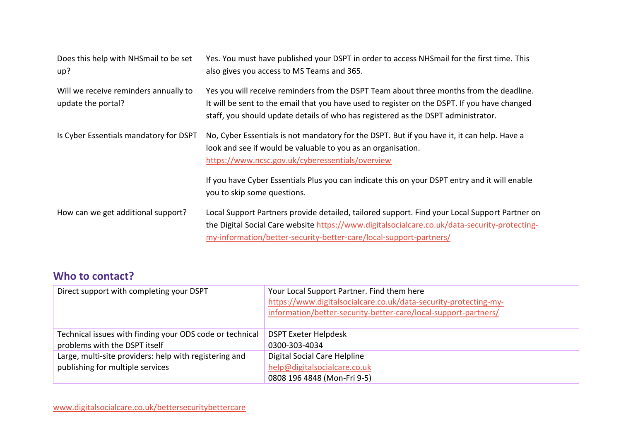| Does this help with NHSmail to be set<br>up?                | Yes. You must have published your DSPT in order to access NHSmail for the first time. This<br>also gives you access to MS Teams and 365.                                                                                                                                     |
|-------------------------------------------------------------|------------------------------------------------------------------------------------------------------------------------------------------------------------------------------------------------------------------------------------------------------------------------------|
| Will we receive reminders annually to<br>update the portal? | Yes you will receive reminders from the DSPT Team about three months from the deadline.<br>It will be sent to the email that you have used to register on the DSPT. If you have changed<br>staff, you should update details of who has registered as the DSPT administrator. |
| Is Cyber Essentials mandatory for DSPT                      | No, Cyber Essentials is not mandatory for the DSPT. But if you have it, it can help. Have a<br>look and see if would be valuable to you as an organisation.<br>https://www.ncsc.gov.uk/cyberessentials/overview                                                              |
|                                                             | If you have Cyber Essentials Plus you can indicate this on your DSPT entry and it will enable<br>you to skip some questions.                                                                                                                                                 |
| How can we get additional support?                          | Local Support Partners provide detailed, tailored support. Find your Local Support Partner on<br>the Digital Social Care website https://www.digitalsocialcare.co.uk/data-security-protecting-<br>my-information/better-security-better-care/local-support-partners/         |

## **Who to contact?**

| Direct support with completing your DSPT                                                  | Your Local Support Partner. Find them here<br>https://www.digitalsocialcare.co.uk/data-security-protecting-my-<br>information/better-security-better-care/local-support-partners/ |
|-------------------------------------------------------------------------------------------|-----------------------------------------------------------------------------------------------------------------------------------------------------------------------------------|
| Technical issues with finding your ODS code or technical<br>problems with the DSPT itself | <b>DSPT Exeter Helpdesk</b><br>0300-303-4034                                                                                                                                      |
| Large, multi-site providers: help with registering and                                    | Digital Social Care Helpline                                                                                                                                                      |
| publishing for multiple services                                                          | help@digitalsocialcare.co.uk<br>0808 196 4848 (Mon-Fri 9-5)                                                                                                                       |